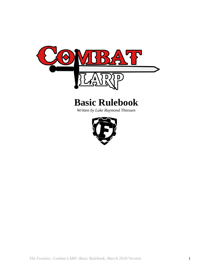

# **Basic Rulebook**

*Written by Luke Raymond Thiessen*

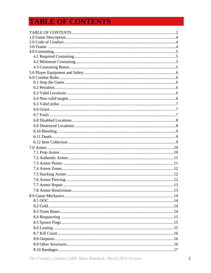# <span id="page-1-0"></span>**TABLE OF CONTENTS**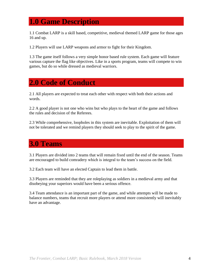## <span id="page-3-0"></span>**1.0 Game Description**

1.1 Combat LARP is a skill based, competitive, medieval themed LARP game for those ages 16 and up.

1.2 Players will use LARP weapons and armor to fight for their Kingdom.

1.3 The game itself follows a very simple honor based rule system. Each game will feature various capture the flag like objectives. Like in a sports program, teams will compete to win games, but do so while dressed as medieval warriors.

## <span id="page-3-1"></span>**2.0 Code of Conduct**

2.1 All players are expected to treat each other with respect with both their actions and words.

2.2 A good player is not one who wins but who plays to the heart of the game and follows the rules and decision of the Referees.

2.3 While comprehensive, loopholes in this system are inevitable. Exploitation of them will not be tolerated and we remind players they should seek to play to the spirit of the game.

## <span id="page-3-2"></span>**3.0 Teams**

3.1 Players are divided into 2 teams that will remain fixed until the end of the season. Teams are encouraged to build comradery which is integral to the team's success on the field.

3.2 Each team will have an elected Captain to lead them in battle.

3.3 Players are reminded that they are roleplaying as soldiers in a medieval army and that disobeying your superiors would have been a serious offence.

3.4 Team attendance is an important part of the game, and while attempts will be made to balance numbers, teams that recruit more players or attend more consistently will inevitably have an advantage.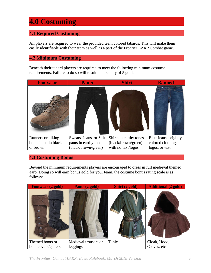## <span id="page-4-0"></span>**4.0 Costuming**

#### <span id="page-4-1"></span>**4.1 Required Costuming**

All players are required to wear the provided team colored tabards. This will make them easily identifiable with their team as well as a part of the Frontier LARP Combat game.

#### <span id="page-4-2"></span>**4.2 Minimum Costuming**

Beneath their tabard players are required to meet the following minimum costume requirements. Failure to do so will result in a penalty of 5 gold.

| <b>Footwear</b>      | <b>Pants</b>           | <b>Shirt</b>           | <b>Banned</b>        |
|----------------------|------------------------|------------------------|----------------------|
|                      |                        |                        |                      |
| Runners or hiking    | Sweats, Jeans, or Suit | Shirts in earthy tones | Blue Jeans, brightly |
| boots in plain black | pants in earthy tones  | (black/brown/green)    | colored clothing,    |
| or brown             | (black/brown/green)    | with no text/logos     | logos, or text       |

#### <span id="page-4-3"></span>**4.3 Costuming Bonus**

Beyond the minimum requirements players are encouraged to dress in full medieval themed garb. Doing so will earn bonus gold for your team, the costume bonus rating scale is as follows:

<span id="page-4-4"></span>

*The Frontier, Combat LARP; Basic Rulebook, March 2018 Version* 5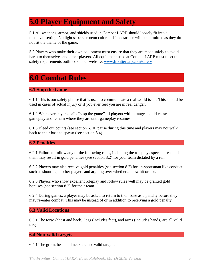## **5.0 Player Equipment and Safety**

5.1 All weapons, armor, and shields used in Combat LARP should loosely fit into a medieval setting. No light sabers or neon colored shields/armor will be permitted as they do not fit the theme of the game.

5.2 Players who make their own equipment must ensure that they are made safely to avoid harm to themselves and other players. All equipment used at Combat LARP must meet the safety requirements outlined on our website: [www.frontierlarp.com/safety](http://www.frontierlarp.com/safety)

## <span id="page-5-0"></span>**6.0 Combat Rules**

#### <span id="page-5-1"></span>**6.1 Stop the Game**

6.1.1 This is our safety phrase that is used to communicate a real world issue. This should be used in cases of actual injury or if you ever feel you are in real danger.

6.1.2 Whenever anyone calls "stop the game" all players within range should cease gameplay and remain where they are until gameplay resumes.

6.1.3 Bleed out counts (see section 6.10) pause during this time and players may not walk back to their base to spawn (see section 8.4).

#### <span id="page-5-2"></span>**6.2 Penalties**

6.2.1 Failure to follow any of the following rules, including the roleplay aspects of each of them may result in gold penalties (see section 8.2) for your team dictated by a ref.

6.2.2 Players may also receive gold penalties (see section 8.2) for un-sportsman like conduct such as shouting at other players and arguing over whether a blow hit or not.

6.2.3 Players who show excellent roleplay and follow rules well may be granted gold bonuses (see section 8.2) for their team.

6.2.4 During games, a player may be asked to return to their base as a penalty before they may re-enter combat. This may be instead of or in addition to receiving a gold penalty.

#### <span id="page-5-3"></span>**6.3 Valid Locations**

6.3.1 The torso (chest and back), legs (includes feet), and arms (includes hands) are all valid targets.

#### <span id="page-5-4"></span>**6.4 Non-valid targets**

6.4.1 The groin, head and neck are not valid targets.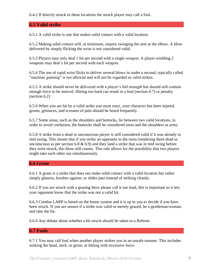6.4.2 If directly struck in these locations the struck player may call a foul.

#### <span id="page-6-0"></span>**6.5 Valid strike**

6.5.1 A valid strike is one that makes solid contact with a valid location.

6.5.2 Making solid contact will, at minimum, require swinging the arm at the elbow. A blow delivered by simply flicking the wrist is not considered valid.

6.5.3 Players may only deal 1 hit per second with a single weapon. A player wielding 2 weapons may deal 1 hit per second with each weapon.

6.5.4 The use of rapid wrist flicks to deliver several blows in under a second, typically called "machine gunning" is not allowed and will not be regarded as valid strikes.

6.5.5 A strike should never be delivered with a player's full strength but should still contain enough force to be noticed. Hitting too hard can result in a foul (section 6.7) or penalty (section 6.2)

6.5.6 When you are hit by a valid strike you must react, your character has been injured, grunts, grimaces, and screams of pain should be heard frequently.

6.5.7 Some areas, such as the shoulders and buttocks, lie between two valid locations, in order to avoid confusion, the buttocks shall be considered torso and the shoulders as arms.

6.5.8 A strike from a dead or unconscious player is still considered valid if it was already in mid swing. This means that if you strike an opponent in the torso (rendering them dead or unconscious as per section 6.8  $\&$  6.9) and they land a strike that was in mid swing before they were struck, this blow still counts. This rule allows for the possibility that two players might take each other out simultaneously.

#### <span id="page-6-1"></span>**6.6 Graze**

6.6.1 A graze is a strike that does not make solid contact with a valid location but rather simply glances, brushes against, or slides past instead of striking cleanly.

6.6.2 If you are struck with a grazing blow please call it out loud, this is important as it lets your opponent know that the strike was not a valid hit.

6.6.3 Combat LARP is based on the honor system and it is up to you to decide if you have been struck. If you are unsure if a strike was valid or merely grazed, be a gentleman/woman and take the hit.

6.6.4 Any debate about whether a hit struck should be taken to a Referee.

#### <span id="page-6-2"></span>**6.7 Fouls**

6.7.1 You may call foul when another player strikes you in an unsafe manner. This includes striking the head, neck, or groin, or hitting with excessive force.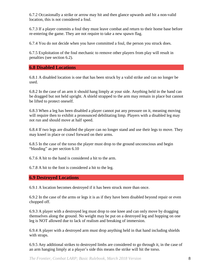6.7.2 Occasionally a strike or arrow may hit and then glance upwards and hit a non-valid location, this is not considered a foul.

6.7.3 If a player commits a foul they must leave combat and return to their home base before re-entering the game. They are not require to take a new spawn flag.

6.7.4 You do not decide when you have committed a foul, the person you struck does.

6.7.5 Exploitation of the foul mechanic to remove other players from play will result in penalties (see section 6.2).

<span id="page-7-0"></span>**6.8 Disabled Locations**

6.8.1 A disabled location is one that has been struck by a valid strike and can no longer be used.

6.8.2 In the case of an arm it should hang limply at your side. Anything held in the hand can be dragged but not held upright. A shield strapped to the arm may remain in place but cannot be lifted to protect oneself.

6.8.3 When a leg has been disabled a player cannot put any pressure on it, meaning moving will require then to exhibit a pronounced debilitating limp. Players with a disabled leg may not run and should move at half speed.

6.8.4 If two legs are disabled the player can no longer stand and use their legs to move. They may kneel in place or crawl forward on their arms.

6.8.5 In the case of the torso the player must drop to the ground unconscious and begin "bleeding" as per section 6.10

6.7.6 A hit to the hand is considered a hit to the arm.

6.7.8 A hit to the foot is considered a hit to the leg.

#### <span id="page-7-1"></span>**6.9 Destroyed Locations**

6.9.1 A location becomes destroyed if it has been struck more than once.

6.9.2 In the case of the arms or legs it is as if they have been disabled beyond repair or even chopped off.

6.9.3 A player with a destroyed leg must drop to one knee and can only move by dragging themselves along the ground. No weight may be put on a destroyed leg and hopping on one leg is NOT allowed due to lack of realism and breaking of immersion.

6.9.4 A player with a destroyed arm must drop anything held in that hand including shields with straps.

6.9.5 Any additional strikes to destroyed limbs are considered to go through it, in the case of an arm hanging limply at a player's side this means the strike will hit the torso.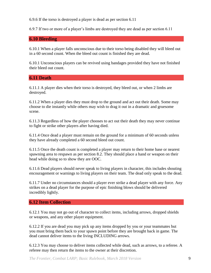6.9.6 If the torso is destroyed a player is dead as per section 6.11

6.9.7 If two or more of a player's limbs are destroyed they are dead as per section 6.11

#### <span id="page-8-0"></span>**6.10 Bleeding**

6.10.1 When a player falls unconscious due to their torso being disabled they will bleed out in a 60 second count. When the bleed out count is finished they are dead.

6.10.1 Unconscious players can be revived using bandages provided they have not finished their bleed out count.

#### <span id="page-8-1"></span>**6.11 Death**

6.11.1 A player dies when their torso is destroyed, they bleed out, or when 2 limbs are destroyed.

6.11.2 When a player dies they must drop to the ground and act out their death. Some may choose to die instantly while others may wish to drag it out in a dramatic and gruesome scene.

6.11.3 Regardless of how the player chooses to act out their death they may never continue to fight or strike other players after having died.

6.11.4 Once dead a player must remain on the ground for a minimum of 60 seconds unless they have already completed a 60 second bleed out count.

6.11.5 Once the death count is completed a player may return to their home base or nearest spawning area to respawn as per section 8.2. They should place a hand or weapon on their head while doing so to show they are OOC.

6.11.6 Dead players should never speak to living players in character, this includes shouting encouragement or warnings to living players on their team. The dead only speak to the dead.

6.11.7 Under no circumstances should a player ever strike a dead player with any force. Any strikes on a dead player for the purpose of epic finishing blows should be delivered incredibly lightly.

#### <span id="page-8-2"></span>**6.12 Item Collection**

6.12.1 You may not go out of character to collect items, including arrows, dropped shields or weapons, and any other player equipment.

6.12.2 If you are dead you may pick up any items dropped by you or your teammates but you must bring them back to your spawn point before they are brought back in game. The dead cannot deliver items to the living INCLUDING arrows.

6.12.3 You may choose to deliver items collected while dead, such as arrows, to a referee. A referee may then return the items to the owner at their discretion.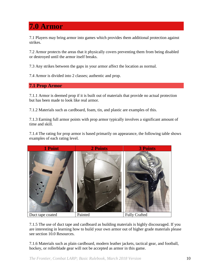<span id="page-9-0"></span>**7.0 Armor**

7.1 Players may bring armor into games which provides them additional protection against strikes.

7.2 Armor protects the areas that it physically covers preventing them from being disabled or destroyed until the armor itself breaks.

7.3 Any strikes between the gaps in your armor affect the location as normal.

7.4 Armor is divided into 2 classes; authentic and prop.

<span id="page-9-1"></span>**7.1 Prop Armor**

7.1.1 Armor is deemed prop if it is built out of materials that provide no actual protection but has been made to look like real armor.

7.1.2 Materials such as cardboard, foam, tin, and plastic are examples of this.

7.1.3 Earning full armor points with prop armor typically involves a significant amount of time and skill.

7.1.4 The rating for prop armor is based primarily on appearance, the following table shows examples of each rating level.



7.1.5 The use of duct tape and cardboard as building materials is highly discouraged. If you are interesting in learning how to build your own armor out of higher grade materials please see section 10.0 Resources.

7.1.6 Materials such as plain cardboard, modern leather jackets, tactical gear, and football, hockey, or rollerblade gear will not be accepted as armor in this game.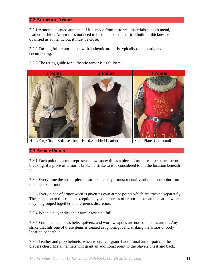#### <span id="page-10-0"></span>**7.2 Authentic Armor**

7.2.1 Armor is deemed authentic if it is made from historical materials such as metal, leather, or hide. Armor does not need to be of an exact historical build or thickness to be qualified as authentic but it must be close.

7.2.2 Earning full armor points with authentic armor is typically quite costly and encumbering.

7.2.3 The rating guide for authentic armor is as follows:



#### <span id="page-10-1"></span>**7.3 Armor Points**

7.3.1 Each point of armor represents how many times a piece of armor can be struck before breaking, if a piece of armor is broken a strike to it is considered to hit the location beneath it.

7.3.2 Every time the armor piece is struck the player must mentally subtract one point from that piece of armor.

7.3.3 Every piece of armor worn is given its own armor points which are tracked separately. The exception to this rule is exceptionally small pieces of armor in the same location which may be grouped together at a referee's discretion.

7.3.4 When a player dies their armor resets to full.

7.3.5 Equipment, such as belts, quivers, and worn weapons are not counted as armor. Any strike that hits one of these items is treated as ignoring it and striking the armor or body location beneath it.

7.3.6 Leather and prop helmets, when worn, will grant 1 additional armor point to the players chest. Metal helmets will grant an additional point to the players chest and back.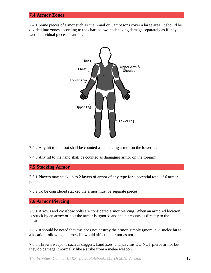#### <span id="page-11-0"></span>**7.4 Armor Zones**

7.4.1 Some pieces of armor such as chainmail or Gambesons cover a large area. It should be divided into zones according to the chart below, each taking damage separately as if they were individual pieces of armor.



7.4.2 Any hit to the foot shall be counted as damaging armor on the lower leg.

7.4.3 Any hit to the hand shall be counted as damaging armor on the forearm.

<span id="page-11-1"></span>**7.5 Stacking Armor** 

7.5.1 Players may stack up to 2 layers of armor of any type for a potential total of 6 armor points.

7.5.2 To be considered stacked the armor must be separate pieces.

<span id="page-11-2"></span>**7.6 Armor Piercing**

7.6.1 Arrows and crossbow bolts are considered armor piercing. When an armored location is struck by an arrow or bolt the armor is ignored and the hit counts as directly to the location.

7.6.2 It should be noted that this does not destroy the armor, simply ignore it. A melee hit to a location following an arrow hit would affect the armor as normal.

7.6.3 Thrown weapons such as daggers, hand axes, and javelins DO NOT pierce armor but they do damage it normally like a strike from a melee weapon.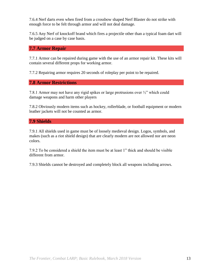7.6.4 Nerf darts even when fired from a crossbow shaped Nerf Blaster do not strike with enough force to be felt through armor and will not deal damage.

7.6.5 Any Nerf of knockoff brand which fires a projectile other than a typical foam dart will be judged on a case by case basis.

#### <span id="page-12-0"></span>**7.7 Armor Repair**

7.7.1 Armor can be repaired during game with the use of an armor repair kit. These kits will contain several different props for working armor.

7.7.2 Repairing armor requires 20 seconds of roleplay per point to be repaired.

#### <span id="page-12-1"></span>**7.8 Armor Restrictions**

7.8.1 Armor may not have any rigid spikes or large protrusions over ½" which could damage weapons and harm other players

7.8.2 Obviously modern items such as hockey, rollerblade, or football equipment or modern leather jackets will not be counted as armor.

#### **7.9 Shields**

7.9.1 All shields used in game must be of loosely medieval design. Logos, symbols, and makes (such as a riot shield design) that are clearly modern are not allowed nor are neon colors.

7.9.2 To be considered a shield the item must be at least 1" thick and should be visible different from armor.

7.9.3 Shields cannot be destroyed and completely block all weapons including arrows.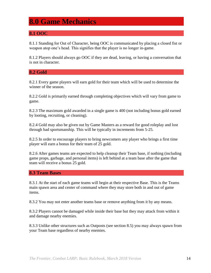## <span id="page-13-0"></span>**8.0 Game Mechanics**

#### <span id="page-13-1"></span>**8.1 OOC**

8.1.1 Standing for Out of Character, being OOC is communicated by placing a closed fist or weapon atop one's head. This signifies that the player is no longer in-game.

8.1.2 Players should always go OOC if they are dead, leaving, or having a conversation that is not in character.

#### <span id="page-13-2"></span>**8.2 Gold**

8.2.1 Every game players will earn gold for their team which will be used to determine the winner of the season.

8.2.2 Gold is primarily earned through completing objectives which will vary from game to game.

8.2.3 The maximum gold awarded in a single game is 400 (not including bonus gold earned by looting, recruiting, or cleaning).

8.2.4 Gold may also be given out by Game Masters as a reward for good roleplay and lost through bad sportsmanship. This will be typically in increments from 5-25.

8.2.5 In order to encourage players to bring newcomers any player who brings a first time player will earn a bonus for their team of 25 gold.

8.2.6 After games teams are expected to help cleanup their Team base, if nothing (including game props, garbage, and personal items) is left behind at a team base after the game that team will receive a bonus 25 gold.

#### <span id="page-13-3"></span>**8.3 Team Bases**

8.3.1 At the start of each game teams will begin at their respective Base. This is the Teams main spawn area and center of command where they may store both in and out of game items.

8.3.2 You may not enter another teams base or remove anything from it by any means.

8.3.2 Players cannot be damaged while inside their base but they may attack from within it and damage nearby enemies.

8.3.3 Unlike other structures such as Outposts (see section 8.5) you may always spawn from your Team base regardless of nearby enemies.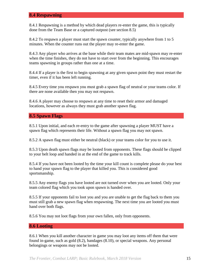#### <span id="page-14-0"></span>**8.4 Respawning**

8.4.1 Respawning is a method by which dead players re-enter the game, this is typically done from the Team Base or a captured outpost (see section 8.5)

8.4.2 To respawn a player must start the spawn counter, typically anywhere from 1 to 5 minutes. When the counter runs out the player may re-enter the game.

8.4.3 Any player who arrives at the base while their team mates are mid-spawn may re-enter when the time finishes, they do not have to start over from the beginning. This encourages teams spawning in groups rather than one at a time.

8.4.4 If a player is the first to begin spawning at any given spawn point they must restart the timer, even if it has been left running.

8.4.5 Every time you respawn you must grab a spawn flag of neutral or your teams color. If there are none available then you may not respawn.

8.4.6 A player may choose to respawn at any time to reset their armor and damaged locations, however as always they must grab another spawn flag.

#### <span id="page-14-1"></span>**8.5 Spawn Flags**

8.5.1 Upon initial, and each re-entry to the game after spawning a player MUST have a spawn flag which represents their life. Without a spawn flag you may not spawn.

8.5.2 A spawn flag must either be neutral (black) or your teams color for you to use it.

8.5.3 Upon death spawn flags may be looted from opponents. These flags should be clipped to your belt loop and handed in at the end of the game to track kills.

8.5.4 If you have not been looted by the time your kill count is complete please do your best to hand your spawn flag to the player that killed you. This is considered good sportsmanship.

8.5.5 Any enemy flags you have looted are not turned over when you are looted. Only your team colored flag which you took upon spawn is handed over.

8.5.5 If your opponents fail to loot you and you are unable to get the flag back to them you must still grab a new spawn flag when respawning. The next time you are looted you must hand over both flags.

8.5.6 You may not loot flags from your own fallen, only from opponents.

#### <span id="page-14-2"></span>**8.6 Looting**

8.6.1 When you kill another character in game you may loot any items off them that were found in-game, such as gold (8.2), bandages (8.10), or special weapons. Any personal belongings or weapons may not be looted.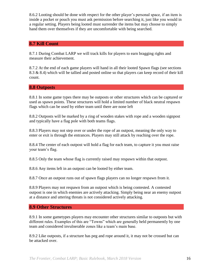8.6.2 Looting should be done with respect for the other player's personal space, if an item is inside a pocket or pouch you must ask permission before searching it, just like you would in a regular setting. Players being looted must surrender the items but may choose to simply hand them over themselves if they are uncomfortable with being searched.

#### <span id="page-15-0"></span>**8.7 Kill Count**

8.7.1 During Combat LARP we will track kills for players to earn bragging rights and measure their achievement.

8.7.2 At the end of each game players will hand in all their looted Spawn flags (see sections 8.3 & 8.4) which will be tallied and posted online so that players can keep record of their kill count.

#### <span id="page-15-1"></span>**8.8 Outposts**

8.8.1 In some game types there may be outposts or other structures which can be captured or used as spawn points. These structures will hold a limited number of black neutral respawn flags which can be used by either team until there are none left

8.8.2 Outposts will be marked by a ring of wooden stakes with rope and a wooden signpost and typically have a flag pole with both teams flags.

8.8.3 Players may not step over or under the rope of an outpost, meaning the only way to enter or exit is through the entrances. Players may still attack by reaching over the rope.

8.8.4 The center of each outpost will hold a flag for each team, to capture it you must raise your team's flag.

8.8.5 Only the team whose flag is currently raised may respawn within that outpost.

8.8.6 Any items left in an outpost can be looted by either team.

8.8.7 Once an outpost runs out of spawn flags players can no longer respawn from it.

8.8.9 Players may not respawn from an outpost which is being contested. A contested outpost is one in which enemies are actively attacking. Simply being near an enemy outpost at a distance and uttering threats is not considered actively attacking.

#### <span id="page-15-2"></span>**8.9 Other Structures**

8.9.1 In some gametypes players may encounter other structures similar to outposts but with different rules. Examples of this are "Towns" which are generally held permanently by one team and considered invulnerable zones like a team's main base.

8.9.2 Like outposts, if a structure has peg and rope around it, it may not be crossed but can be attacked over.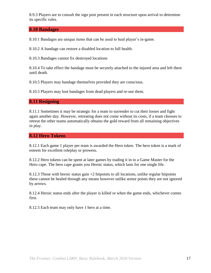8.9.3 Players are to consult the sign post present in each structure upon arrival to determine its specific rules.

#### <span id="page-16-0"></span>**8.10 Bandages**

8.10.1 Bandages are unique items that can be used to heal player's in-game.

8.10.2 A bandage can restore a disabled location to full health.

8.10.3 Bandages cannot fix destroyed locations

8.10.4 To take effect the bandage must be securely attached to the injured area and left there until death.

8.10.5 Players may bandage themselves provided they are conscious.

8.10.5 Players may loot bandages from dead players and re-use them.

#### <span id="page-16-1"></span>**8.11 Resigning**

8.11.1 Sometimes it may be strategic for a team to surrender to cut their losses and fight again another day. However, retreating does not come without its costs, if a team chooses to retreat the other teams automatically obtains the gold reward from all remaining objectives in play.

#### <span id="page-16-2"></span>**8.12 Hero Tokens**

8.12.1 Each game 1 player per team is awarded the Hero token. The hero token is a mark of esteem for excellent roleplay or prowess.

8.12.2 Hero tokens can be spent at later games by trading it in to a Game Master for the Hero cape. The hero cape grants you Heroic status, which lasts for one single life.

8.12.3 Those with heroic status gain  $+2$  hitpoints to all locations, unlike regular hitpoints these cannot be healed through any means however unlike armor points they are not ignored by arrows.

8.12.4 Heroic status ends after the player is killed or when the game ends, whichever comes first.

8.12.5 Each team may only have 1 hero at a time.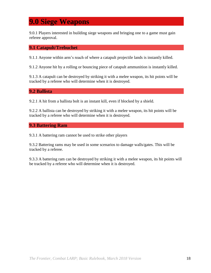## <span id="page-17-0"></span>**9.0 Siege Weapons**

9.0.1 Players interested in building siege weapons and bringing one to a game must gain referee approval.

#### <span id="page-17-1"></span>**9.1 Catapult/Trebuchet**

9.1.1 Anyone within arm's reach of where a catapult projectile lands is instantly killed.

9.1.2 Anyone hit by a rolling or bouncing piece of catapult ammunition is instantly killed.

9.1.3 A catapult can be destroyed by striking it with a melee weapon, its hit points will be tracked by a referee who will determine when it is destroyed.

<span id="page-17-2"></span>**9.2 Ballista** 

9.2.1 A hit from a ballista bolt is an instant kill, even if blocked by a shield.

9.2.2 A ballista can be destroyed by striking it with a melee weapon, its hit points will be tracked by a referee who will determine when it is destroyed.

<span id="page-17-3"></span>**9.3 Battering Ram**

9.3.1 A battering ram cannot be used to strike other players

9.3.2 Battering rams may be used in some scenarios to damage walls/gates. This will be tracked by a referee.

9.3.3 A battering ram can be destroyed by striking it with a melee weapon, its hit points will be tracked by a referee who will determine when it is destroyed.